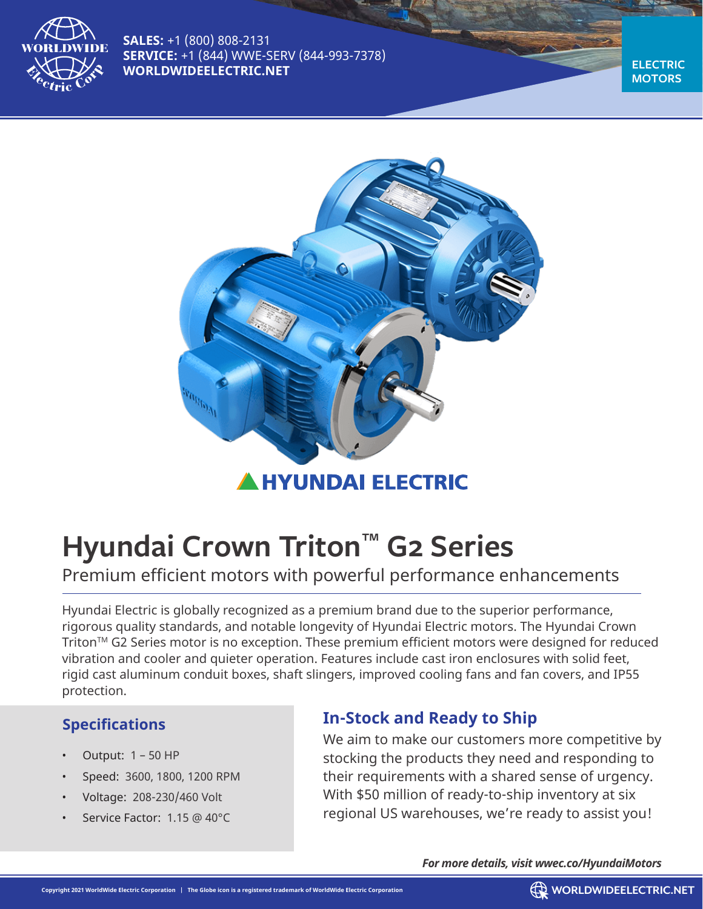

**SALES:** +1 (800) 808-2131 **SERVICE:** +1 (844) WWE-SERV (844-993-7378) **[WORLDWIDEELECTRIC.NET](http://worldwideelectric.net )**

**ELECTRIC MOTORS**



# **Hyundai Crown Triton™ G2 Series**

## Premium efficient motors with powerful performance enhancements

Hyundai Electric is globally recognized as a premium brand due to the superior performance, rigorous quality standards, and notable longevity of Hyundai Electric motors. The Hyundai Crown Triton<sup>™</sup> G2 Series motor is no exception. These premium efficient motors were designed for reduced vibration and cooler and quieter operation. Features include cast iron enclosures with solid feet, rigid cast aluminum conduit boxes, shaft slingers, improved cooling fans and fan covers, and IP55 protection.

#### **Specifications**

- Output: 1 50 HP
- Speed: 3600, 1800, 1200 RPM
- Voltage: 208-230/460 Volt
- Service Factor: 1.15 @ 40°C

### **In-Stock and Ready to Ship**

We aim to make our customers more competitive by stocking the products they need and responding to their requirements with a shared sense of urgency. With \$50 million of ready-to-ship inventory at six regional US warehouses, we're ready to assist you!

*For more details, visit [wwec.co/HyundaiMotors](http://wwec.co/HyundaiMotors)*